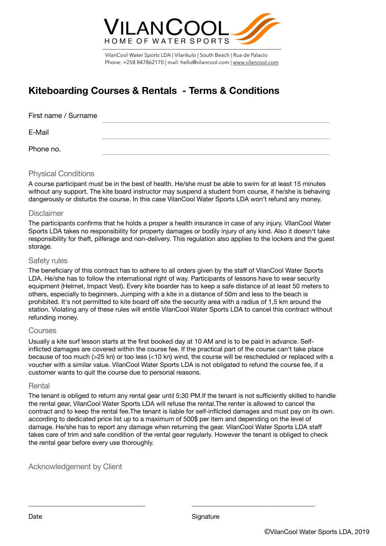

VilanCool Water Sports LDA | Vilankulo | South Beach | Rua de Palacio Phone: +258 847862170 | mail: hello@vilancool.com | [www.vilancool.com](http://www.vilancool.com)

# **Kiteboarding Courses & Rentals - Terms & Conditions**

| First name / Surname |  |  |
|----------------------|--|--|
| E-Mail               |  |  |
| Phone no.            |  |  |

## Physical Conditions

A course participant must be in the best of health. He/she must be able to swim for at least 15 minutes without any support. The kite board instructor may suspend a student from course, if he/she is behaving dangerously or disturbs the course. In this case VilanCool Water Sports LDA won't refund any money.

# **Disclaimer**

The participants confirms that he holds a proper a health insurance in case of any injury. VilanCool Water Sports LDA takes no responsibility for property damages or bodily injury of any kind. Also it doesn't take responsibility for theft, pilferage and non-delivery. This regulation also applies to the lockers and the guest storage.

# Safety rules

The beneficiary of this contract has to adhere to all orders given by the staff of VilanCool Water Sports LDA. He/she has to follow the international right of way. Participants of lessons have to wear security equipment (Helmet, Impact Vest). Every kite boarder has to keep a safe distance of at least 50 meters to others, especially to beginners. Jumping with a kite in a distance of 50m and less to the beach is prohibited. It's not permitted to kite board off site the security area with a radius of 1,5 km around the station. Violating any of these rules will entitle VilanCool Water Sports LDA to cancel this contract without refunding money.

## Courses

Usually a kite surf lesson starts at the first booked day at 10 AM and is to be paid in advance. Selfinflicted damages are covered within the course fee. If the practical part of the course can't take place because of too much (>25 kn) or too less (<10 kn) wind, the course will be rescheduled or replaced with a voucher with a similar value. VilanCool Water Sports LDA is not obligated to refund the course fee, if a customer wants to quit the course due to personal reasons.

## **Rental**

The tenant is obliged to return any rental gear until 5:30 PM.If the tenant is not sufficiently skilled to handle the rental gear, VilanCool Water Sports LDA will refuse the rental.The renter is allowed to cancel the contract and to keep the rental fee.The tenant is liable for self-inflicted damages and must pay on its own. according to dedicated price list up to a maximum of 500\$ per item and depending on the level of damage. He/she has to report any damage when returning the gear. VilanCool Water Sports LDA staff takes care of trim and safe condition of the rental gear regularly. However the tenant is obliged to check the rental gear before every use thoroughly.

\_\_\_\_\_\_\_\_\_\_\_\_\_\_\_\_\_\_\_\_\_\_\_\_\_\_\_\_\_\_\_\_\_\_\_\_ \_\_\_\_\_\_\_\_\_\_\_\_\_\_\_\_\_\_\_\_\_\_\_\_\_\_\_\_\_\_\_\_\_\_\_\_\_\_

Acknowledgement by Client